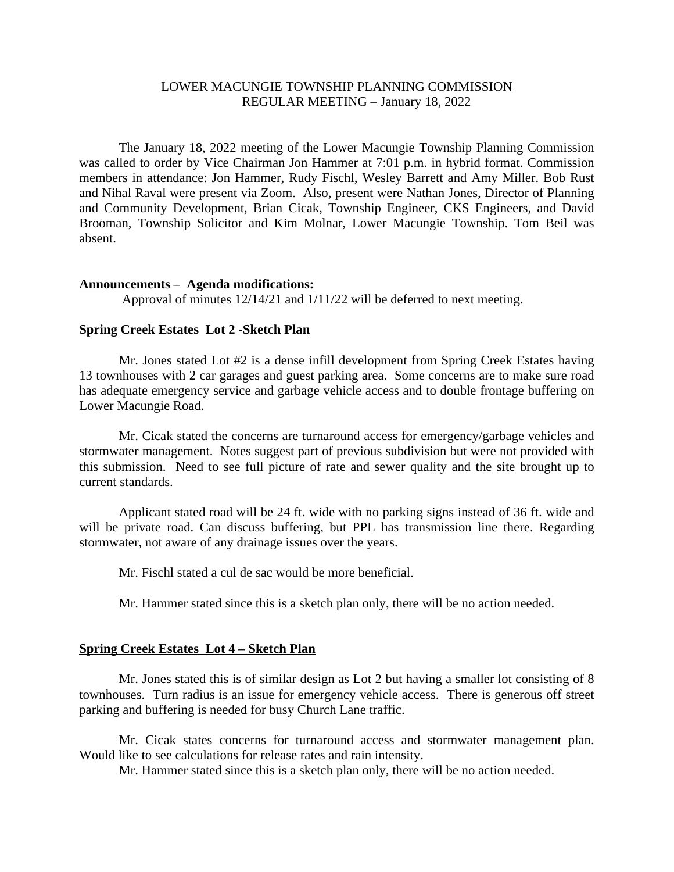# LOWER MACUNGIE TOWNSHIP PLANNING COMMISSION REGULAR MEETING – January 18, 2022

The January 18, 2022 meeting of the Lower Macungie Township Planning Commission was called to order by Vice Chairman Jon Hammer at 7:01 p.m. in hybrid format. Commission members in attendance: Jon Hammer, Rudy Fischl, Wesley Barrett and Amy Miller. Bob Rust and Nihal Raval were present via Zoom. Also, present were Nathan Jones, Director of Planning and Community Development, Brian Cicak, Township Engineer, CKS Engineers, and David Brooman, Township Solicitor and Kim Molnar, Lower Macungie Township. Tom Beil was absent.

### **Announcements – Agenda modifications:**

Approval of minutes 12/14/21 and 1/11/22 will be deferred to next meeting.

### **Spring Creek Estates Lot 2 -Sketch Plan**

Mr. Jones stated Lot #2 is a dense infill development from Spring Creek Estates having 13 townhouses with 2 car garages and guest parking area. Some concerns are to make sure road has adequate emergency service and garbage vehicle access and to double frontage buffering on Lower Macungie Road.

Mr. Cicak stated the concerns are turnaround access for emergency/garbage vehicles and stormwater management. Notes suggest part of previous subdivision but were not provided with this submission. Need to see full picture of rate and sewer quality and the site brought up to current standards.

Applicant stated road will be 24 ft. wide with no parking signs instead of 36 ft. wide and will be private road. Can discuss buffering, but PPL has transmission line there. Regarding stormwater, not aware of any drainage issues over the years.

Mr. Fischl stated a cul de sac would be more beneficial.

Mr. Hammer stated since this is a sketch plan only, there will be no action needed.

## **Spring Creek Estates Lot 4 – Sketch Plan**

Mr. Jones stated this is of similar design as Lot 2 but having a smaller lot consisting of 8 townhouses. Turn radius is an issue for emergency vehicle access. There is generous off street parking and buffering is needed for busy Church Lane traffic.

Mr. Cicak states concerns for turnaround access and stormwater management plan. Would like to see calculations for release rates and rain intensity.

Mr. Hammer stated since this is a sketch plan only, there will be no action needed.